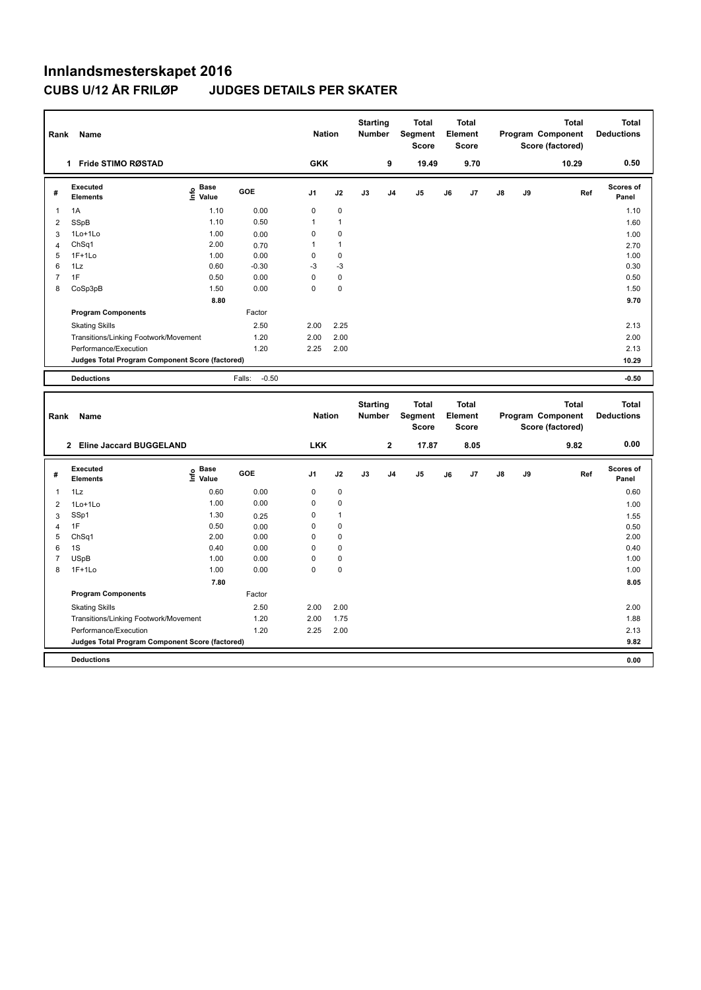| Rank                | Name                                            |                                           |                   | <b>Nation</b>       |                            | <b>Starting</b><br><b>Number</b> |                         | <b>Total</b><br>Segment<br><b>Score</b> |    | <b>Total</b><br>Element<br>Score |    |    | <b>Total</b><br>Program Component<br>Score (factored) | <b>Total</b><br><b>Deductions</b> |
|---------------------|-------------------------------------------------|-------------------------------------------|-------------------|---------------------|----------------------------|----------------------------------|-------------------------|-----------------------------------------|----|----------------------------------|----|----|-------------------------------------------------------|-----------------------------------|
|                     | 1 Fride STIMO RØSTAD                            |                                           |                   | <b>GKK</b>          |                            |                                  | 9                       | 19.49                                   |    | 9.70                             |    |    | 10.29                                                 | 0.50                              |
| #                   | <b>Executed</b><br><b>Elements</b>              | $\frac{e}{E}$ Base<br>$\frac{e}{E}$ Value | GOE               | J <sub>1</sub>      | J2                         | J3                               | J4                      | J <sub>5</sub>                          | J6 | J7                               | J8 | J9 | Ref                                                   | Scores of<br>Panel                |
| $\mathbf{1}$        | 1A                                              | 1.10                                      | 0.00              | $\pmb{0}$           | $\mathbf 0$                |                                  |                         |                                         |    |                                  |    |    |                                                       | 1.10                              |
| $\overline{2}$      | <b>SSpB</b>                                     | 1.10                                      | 0.50              | 1                   | $\overline{1}$             |                                  |                         |                                         |    |                                  |    |    |                                                       | 1.60                              |
| 3                   | 1Lo+1Lo                                         | 1.00                                      | 0.00              | 0                   | $\mathbf 0$                |                                  |                         |                                         |    |                                  |    |    |                                                       | 1.00                              |
| 4                   | ChSq1                                           | 2.00                                      | 0.70              | 1                   | $\overline{1}$             |                                  |                         |                                         |    |                                  |    |    |                                                       | 2.70                              |
| 5<br>6              | $1F+1Lo$<br>1Lz                                 | 1.00<br>0.60                              | 0.00              | $\mathbf 0$<br>$-3$ | $\mathbf 0$<br>$-3$        |                                  |                         |                                         |    |                                  |    |    |                                                       | 1.00<br>0.30                      |
| $\overline{7}$      | 1F                                              | 0.50                                      | $-0.30$<br>0.00   | $\mathbf 0$         | $\mathbf 0$                |                                  |                         |                                         |    |                                  |    |    |                                                       | 0.50                              |
| 8                   | CoSp3pB                                         | 1.50                                      | 0.00              | $\mathbf 0$         | $\mathbf 0$                |                                  |                         |                                         |    |                                  |    |    |                                                       | 1.50                              |
|                     |                                                 | 8.80                                      |                   |                     |                            |                                  |                         |                                         |    |                                  |    |    |                                                       | 9.70                              |
|                     | <b>Program Components</b>                       |                                           | Factor            |                     |                            |                                  |                         |                                         |    |                                  |    |    |                                                       |                                   |
|                     | <b>Skating Skills</b>                           |                                           | 2.50              | 2.00                | 2.25                       |                                  |                         |                                         |    |                                  |    |    |                                                       | 2.13                              |
|                     | Transitions/Linking Footwork/Movement           |                                           | 1.20              | 2.00                | 2.00                       |                                  |                         |                                         |    |                                  |    |    |                                                       | 2.00                              |
|                     | Performance/Execution                           |                                           | 1.20              | 2.25                | 2.00                       |                                  |                         |                                         |    |                                  |    |    |                                                       | 2.13                              |
|                     | Judges Total Program Component Score (factored) |                                           |                   |                     |                            |                                  |                         |                                         |    |                                  |    |    |                                                       | 10.29                             |
|                     | <b>Deductions</b>                               |                                           | $-0.50$<br>Falls: |                     |                            |                                  |                         |                                         |    |                                  |    |    |                                                       | $-0.50$                           |
| Rank                | Name                                            |                                           |                   | <b>Nation</b>       |                            | <b>Starting</b><br>Number        |                         | <b>Total</b><br>Segment<br><b>Score</b> |    | Total<br>Element<br><b>Score</b> |    |    | <b>Total</b><br>Program Component<br>Score (factored) | <b>Total</b><br><b>Deductions</b> |
|                     | 2 Eline Jaccard BUGGELAND                       |                                           |                   | <b>LKK</b>          |                            |                                  | $\overline{\mathbf{2}}$ | 17.87                                   |    | 8.05                             |    |    | 9.82                                                  | 0.00                              |
| #                   | Executed<br><b>Elements</b>                     | e Base<br>E Value                         | GOE               | J1                  | J2                         | J3                               | J <sub>4</sub>          | J5                                      | J6 | J7                               | J8 | J9 | Ref                                                   | Scores of<br>Panel                |
| $\mathbf{1}$        | 1Lz                                             | 0.60                                      | 0.00              | $\mathbf 0$         | $\mathbf 0$                |                                  |                         |                                         |    |                                  |    |    |                                                       | 0.60                              |
| $\overline{2}$      | 1Lo+1Lo                                         | 1.00                                      | 0.00              | 0                   | $\pmb{0}$                  |                                  |                         |                                         |    |                                  |    |    |                                                       | 1.00                              |
| 3                   | SSp1                                            | 1.30                                      | 0.25              | 0                   | $\overline{1}$             |                                  |                         |                                         |    |                                  |    |    |                                                       | 1.55                              |
| $\overline{4}$      | 1F                                              | 0.50                                      | 0.00              | $\mathbf 0$         | $\mathbf 0$                |                                  |                         |                                         |    |                                  |    |    |                                                       | 0.50                              |
| 5                   | ChSq1                                           | 2.00                                      | 0.00              | $\mathbf 0$         | $\mathbf 0$                |                                  |                         |                                         |    |                                  |    |    |                                                       | 2.00                              |
| 6                   | 1S                                              | 0.40                                      | 0.00              | 0                   | $\mathbf 0$                |                                  |                         |                                         |    |                                  |    |    |                                                       | 0.40                              |
| $\overline{7}$<br>8 | <b>USpB</b><br>$1F+1Lo$                         | 1.00<br>1.00                              | 0.00              | 0<br>$\overline{0}$ | $\mathbf 0$<br>$\mathbf 0$ |                                  |                         |                                         |    |                                  |    |    |                                                       | 1.00                              |
|                     |                                                 | 7.80                                      | 0.00              |                     |                            |                                  |                         |                                         |    |                                  |    |    |                                                       | 1.00<br>8.05                      |
|                     | <b>Program Components</b>                       |                                           | Factor            |                     |                            |                                  |                         |                                         |    |                                  |    |    |                                                       |                                   |
|                     |                                                 |                                           |                   |                     |                            |                                  |                         |                                         |    |                                  |    |    |                                                       |                                   |
|                     | <b>Skating Skills</b>                           |                                           | 2.50              | 2.00<br>2.00        | 2.00<br>1.75               |                                  |                         |                                         |    |                                  |    |    |                                                       | 2.00<br>1.88                      |
|                     | Transitions/Linking Footwork/Movement           |                                           | 1.20              | 2.25                |                            |                                  |                         |                                         |    |                                  |    |    |                                                       | 2.13                              |
|                     | Performance/Execution                           |                                           | 1.20              |                     | 2.00                       |                                  |                         |                                         |    |                                  |    |    |                                                       |                                   |
|                     | Judges Total Program Component Score (factored) |                                           |                   |                     |                            |                                  |                         |                                         |    |                                  |    |    |                                                       | 9.82                              |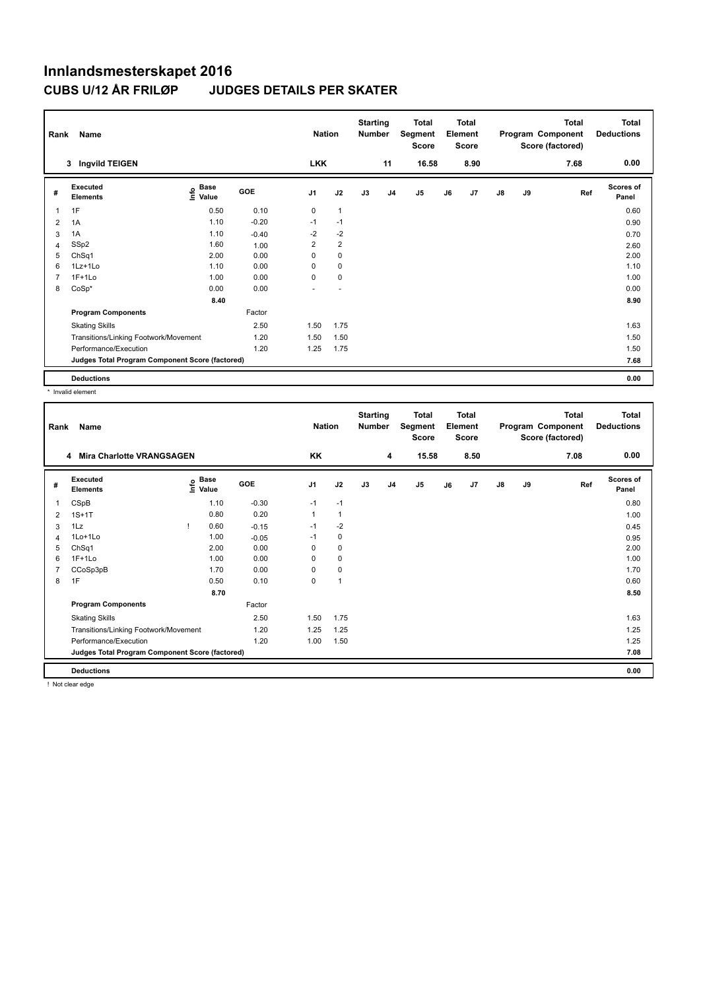| Rank | Name                                            |                       |         | <b>Nation</b>  |                          | <b>Starting</b><br><b>Number</b> |                | Total<br>Segment<br>Score |    | <b>Total</b><br>Element<br><b>Score</b> |               |    | <b>Total</b><br>Program Component<br>Score (factored) | <b>Total</b><br><b>Deductions</b> |
|------|-------------------------------------------------|-----------------------|---------|----------------|--------------------------|----------------------------------|----------------|---------------------------|----|-----------------------------------------|---------------|----|-------------------------------------------------------|-----------------------------------|
|      | Ingvild TEIGEN<br>3                             |                       |         | <b>LKK</b>     |                          |                                  | 11             | 16.58                     |    | 8.90                                    |               |    | 7.68                                                  | 0.00                              |
| #    | Executed<br><b>Elements</b>                     | Base<br>١nfo<br>Value | GOE     | J <sub>1</sub> | J2                       | J3                               | J <sub>4</sub> | J5                        | J6 | J7                                      | $\mathsf{J}8$ | J9 | Ref                                                   | Scores of<br>Panel                |
| 1    | 1F                                              | 0.50                  | 0.10    | $\mathbf 0$    | 1                        |                                  |                |                           |    |                                         |               |    |                                                       | 0.60                              |
| 2    | 1A                                              | 1.10                  | $-0.20$ | $-1$           | $-1$                     |                                  |                |                           |    |                                         |               |    |                                                       | 0.90                              |
| 3    | 1A                                              | 1.10                  | $-0.40$ | $-2$           | $-2$                     |                                  |                |                           |    |                                         |               |    |                                                       | 0.70                              |
| 4    | SSp2                                            | 1.60                  | 1.00    | 2              | $\overline{2}$           |                                  |                |                           |    |                                         |               |    |                                                       | 2.60                              |
| 5    | ChSq1                                           | 2.00                  | 0.00    | 0              | $\pmb{0}$                |                                  |                |                           |    |                                         |               |    |                                                       | 2.00                              |
| 6    | 1Lz+1Lo                                         | 1.10                  | 0.00    | 0              | 0                        |                                  |                |                           |    |                                         |               |    |                                                       | 1.10                              |
|      | $1F+1Lo$                                        | 1.00                  | 0.00    | 0              | $\pmb{0}$                |                                  |                |                           |    |                                         |               |    |                                                       | 1.00                              |
| 8    | $CoSp*$                                         | 0.00                  | 0.00    |                | $\overline{\phantom{a}}$ |                                  |                |                           |    |                                         |               |    |                                                       | 0.00                              |
|      |                                                 | 8.40                  |         |                |                          |                                  |                |                           |    |                                         |               |    |                                                       | 8.90                              |
|      | <b>Program Components</b>                       |                       | Factor  |                |                          |                                  |                |                           |    |                                         |               |    |                                                       |                                   |
|      | <b>Skating Skills</b>                           |                       | 2.50    | 1.50           | 1.75                     |                                  |                |                           |    |                                         |               |    |                                                       | 1.63                              |
|      | Transitions/Linking Footwork/Movement           |                       | 1.20    | 1.50           | 1.50                     |                                  |                |                           |    |                                         |               |    |                                                       | 1.50                              |
|      | Performance/Execution                           |                       | 1.20    | 1.25           | 1.75                     |                                  |                |                           |    |                                         |               |    |                                                       | 1.50                              |
|      | Judges Total Program Component Score (factored) |                       |         |                |                          |                                  |                |                           |    |                                         |               |    |                                                       | 7.68                              |
|      | <b>Deductions</b>                               |                       |         |                |                          |                                  |                |                           |    |                                         |               |    |                                                       | 0.00                              |

\* Invalid element

| Rank           | Name                                            |                                    |         | <b>Nation</b>  |                | <b>Starting</b><br><b>Number</b> |                | <b>Total</b><br>Segment<br><b>Score</b> |    | <b>Total</b><br>Element<br><b>Score</b> |               |    | <b>Total</b><br>Program Component<br>Score (factored) | Total<br><b>Deductions</b> |
|----------------|-------------------------------------------------|------------------------------------|---------|----------------|----------------|----------------------------------|----------------|-----------------------------------------|----|-----------------------------------------|---------------|----|-------------------------------------------------------|----------------------------|
|                | 4 Mira Charlotte VRANGSAGEN                     |                                    |         | KK             |                |                                  | 4              | 15.58                                   |    | 8.50                                    |               |    | 7.08                                                  | 0.00                       |
| #              | Executed<br><b>Elements</b>                     | <b>Base</b><br>$\frac{6}{5}$ Value | GOE     | J <sub>1</sub> | J2             | J3                               | J <sub>4</sub> | J <sub>5</sub>                          | J6 | J7                                      | $\mathsf{J}8$ | J9 | Ref                                                   | <b>Scores of</b><br>Panel  |
| 1              | CSpB                                            | 1.10                               | $-0.30$ | $-1$           | $-1$           |                                  |                |                                         |    |                                         |               |    |                                                       | 0.80                       |
| 2              | $1S+1T$                                         | 0.80                               | 0.20    | $\mathbf{1}$   | $\mathbf{1}$   |                                  |                |                                         |    |                                         |               |    |                                                       | 1.00                       |
| 3              | 1Lz                                             | 0.60                               | $-0.15$ | $-1$           | $-2$           |                                  |                |                                         |    |                                         |               |    |                                                       | 0.45                       |
| 4              | $1$ Lo $+1$ Lo                                  | 1.00                               | $-0.05$ | $-1$           | 0              |                                  |                |                                         |    |                                         |               |    |                                                       | 0.95                       |
| 5              | ChSq1                                           | 2.00                               | 0.00    | 0              | 0              |                                  |                |                                         |    |                                         |               |    |                                                       | 2.00                       |
| 6              | $1F+1Lo$                                        | 1.00                               | 0.00    | 0              | $\pmb{0}$      |                                  |                |                                         |    |                                         |               |    |                                                       | 1.00                       |
| $\overline{7}$ | CCoSp3pB                                        | 1.70                               | 0.00    | 0              | $\pmb{0}$      |                                  |                |                                         |    |                                         |               |    |                                                       | 1.70                       |
| 8              | 1F                                              | 0.50                               | 0.10    | 0              | $\overline{1}$ |                                  |                |                                         |    |                                         |               |    |                                                       | 0.60                       |
|                |                                                 | 8.70                               |         |                |                |                                  |                |                                         |    |                                         |               |    |                                                       | 8.50                       |
|                | <b>Program Components</b>                       |                                    | Factor  |                |                |                                  |                |                                         |    |                                         |               |    |                                                       |                            |
|                | <b>Skating Skills</b>                           |                                    | 2.50    | 1.50           | 1.75           |                                  |                |                                         |    |                                         |               |    |                                                       | 1.63                       |
|                | Transitions/Linking Footwork/Movement           |                                    | 1.20    | 1.25           | 1.25           |                                  |                |                                         |    |                                         |               |    |                                                       | 1.25                       |
|                | Performance/Execution                           |                                    | 1.20    | 1.00           | 1.50           |                                  |                |                                         |    |                                         |               |    |                                                       | 1.25                       |
|                | Judges Total Program Component Score (factored) |                                    |         |                |                |                                  |                |                                         |    |                                         |               |    |                                                       | 7.08                       |
|                | <b>Deductions</b>                               |                                    |         |                |                |                                  |                |                                         |    |                                         |               |    |                                                       | 0.00                       |

! Not clear edge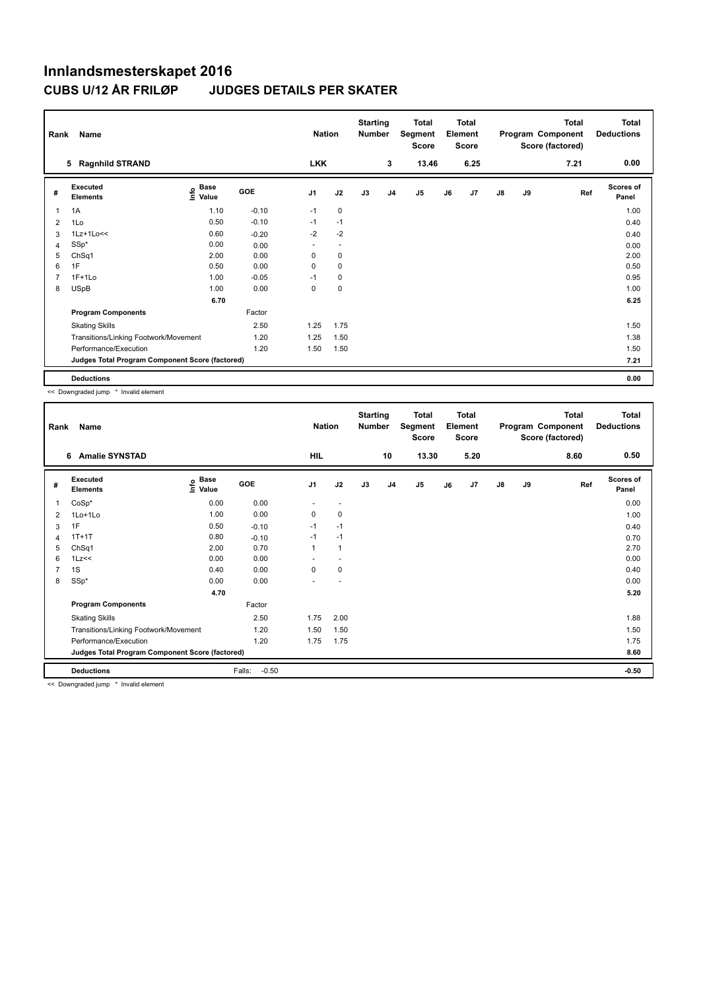| Rank           | Name                                            |                           |         | <b>Nation</b>  |                          | <b>Starting</b><br><b>Number</b> |                | <b>Total</b><br>Segment<br>Score |    | <b>Total</b><br>Element<br><b>Score</b> |               |    | <b>Total</b><br>Program Component<br>Score (factored) | <b>Total</b><br><b>Deductions</b> |
|----------------|-------------------------------------------------|---------------------------|---------|----------------|--------------------------|----------------------------------|----------------|----------------------------------|----|-----------------------------------------|---------------|----|-------------------------------------------------------|-----------------------------------|
|                | <b>Ragnhild STRAND</b><br>5                     |                           |         | <b>LKK</b>     |                          |                                  | 3              | 13.46                            |    | 6.25                                    |               |    | 7.21                                                  | 0.00                              |
| #              | Executed<br><b>Elements</b>                     | Base<br>e Base<br>⊆ Value | GOE     | J <sub>1</sub> | J2                       | J3                               | J <sub>4</sub> | J5                               | J6 | J7                                      | $\mathsf{J}8$ | J9 | Ref                                                   | Scores of<br>Panel                |
| 1              | 1A                                              | 1.10                      | $-0.10$ | $-1$           | 0                        |                                  |                |                                  |    |                                         |               |    |                                                       | 1.00                              |
| 2              | 1Lo                                             | 0.50                      | $-0.10$ | $-1$           | $-1$                     |                                  |                |                                  |    |                                         |               |    |                                                       | 0.40                              |
| 3              | $1Lz+1Lo<<$                                     | 0.60                      | $-0.20$ | $-2$           | $-2$                     |                                  |                |                                  |    |                                         |               |    |                                                       | 0.40                              |
| $\overline{4}$ | $SSp*$                                          | 0.00                      | 0.00    | ٠              | $\overline{\phantom{a}}$ |                                  |                |                                  |    |                                         |               |    |                                                       | 0.00                              |
| 5              | ChSq1                                           | 2.00                      | 0.00    | 0              | 0                        |                                  |                |                                  |    |                                         |               |    |                                                       | 2.00                              |
| 6              | 1F                                              | 0.50                      | 0.00    | $\Omega$       | 0                        |                                  |                |                                  |    |                                         |               |    |                                                       | 0.50                              |
| 7              | $1F+1Lo$                                        | 1.00                      | $-0.05$ | $-1$           | 0                        |                                  |                |                                  |    |                                         |               |    |                                                       | 0.95                              |
| 8              | <b>USpB</b>                                     | 1.00                      | 0.00    | 0              | $\pmb{0}$                |                                  |                |                                  |    |                                         |               |    |                                                       | 1.00                              |
|                |                                                 | 6.70                      |         |                |                          |                                  |                |                                  |    |                                         |               |    |                                                       | 6.25                              |
|                | <b>Program Components</b>                       |                           | Factor  |                |                          |                                  |                |                                  |    |                                         |               |    |                                                       |                                   |
|                | <b>Skating Skills</b>                           |                           | 2.50    | 1.25           | 1.75                     |                                  |                |                                  |    |                                         |               |    |                                                       | 1.50                              |
|                | Transitions/Linking Footwork/Movement           |                           | 1.20    | 1.25           | 1.50                     |                                  |                |                                  |    |                                         |               |    |                                                       | 1.38                              |
|                | Performance/Execution                           |                           | 1.20    | 1.50           | 1.50                     |                                  |                |                                  |    |                                         |               |    |                                                       | 1.50                              |
|                | Judges Total Program Component Score (factored) |                           |         |                |                          |                                  |                |                                  |    |                                         |               |    |                                                       | 7.21                              |
|                | <b>Deductions</b>                               |                           |         |                |                          |                                  |                |                                  |    |                                         |               |    |                                                       | 0.00                              |

<< Downgraded jump \* Invalid element

| Rank           | Name                                            |                                  |                   | <b>Nation</b>  |                          | <b>Starting</b><br><b>Number</b> |                | <b>Total</b><br>Segment<br><b>Score</b> |    | <b>Total</b><br>Element<br><b>Score</b> |               |    | <b>Total</b><br>Program Component<br>Score (factored) | Total<br><b>Deductions</b> |
|----------------|-------------------------------------------------|----------------------------------|-------------------|----------------|--------------------------|----------------------------------|----------------|-----------------------------------------|----|-----------------------------------------|---------------|----|-------------------------------------------------------|----------------------------|
|                | <b>Amalie SYNSTAD</b><br>6                      |                                  |                   | HIL            |                          |                                  | 10             | 13.30                                   |    | 5.20                                    |               |    | 8.60                                                  | 0.50                       |
| #              | Executed<br><b>Elements</b>                     | <b>Base</b><br>e Base<br>⊆ Value | GOE               | J <sub>1</sub> | J2                       | J3                               | J <sub>4</sub> | J5                                      | J6 | J7                                      | $\mathsf{J}8$ | J9 | Ref                                                   | <b>Scores of</b><br>Panel  |
| 1              | $CoSp*$                                         | 0.00                             | 0.00              | ٠              | $\overline{\phantom{a}}$ |                                  |                |                                         |    |                                         |               |    |                                                       | 0.00                       |
| 2              | 1Lo+1Lo                                         | 1.00                             | 0.00              | 0              | 0                        |                                  |                |                                         |    |                                         |               |    |                                                       | 1.00                       |
| 3              | 1F                                              | 0.50                             | $-0.10$           | $-1$           | $-1$                     |                                  |                |                                         |    |                                         |               |    |                                                       | 0.40                       |
| 4              | $1T+1T$                                         | 0.80                             | $-0.10$           | $-1$           | $-1$                     |                                  |                |                                         |    |                                         |               |    |                                                       | 0.70                       |
| 5              | Ch <sub>Sq1</sub>                               | 2.00                             | 0.70              | $\mathbf{1}$   | $\mathbf{1}$             |                                  |                |                                         |    |                                         |               |    |                                                       | 2.70                       |
| 6              | 1Lz<<                                           | 0.00                             | 0.00              | ۰              | $\overline{a}$           |                                  |                |                                         |    |                                         |               |    |                                                       | 0.00                       |
| $\overline{7}$ | 1S                                              | 0.40                             | 0.00              | 0              | 0                        |                                  |                |                                         |    |                                         |               |    |                                                       | 0.40                       |
| 8              | SSp*                                            | 0.00                             | 0.00              | ٠              |                          |                                  |                |                                         |    |                                         |               |    |                                                       | 0.00                       |
|                |                                                 | 4.70                             |                   |                |                          |                                  |                |                                         |    |                                         |               |    |                                                       | 5.20                       |
|                | <b>Program Components</b>                       |                                  | Factor            |                |                          |                                  |                |                                         |    |                                         |               |    |                                                       |                            |
|                | <b>Skating Skills</b>                           |                                  | 2.50              | 1.75           | 2.00                     |                                  |                |                                         |    |                                         |               |    |                                                       | 1.88                       |
|                | Transitions/Linking Footwork/Movement           |                                  | 1.20              | 1.50           | 1.50                     |                                  |                |                                         |    |                                         |               |    |                                                       | 1.50                       |
|                | Performance/Execution                           |                                  | 1.20              | 1.75           | 1.75                     |                                  |                |                                         |    |                                         |               |    |                                                       | 1.75                       |
|                | Judges Total Program Component Score (factored) |                                  |                   |                |                          |                                  |                |                                         |    |                                         |               |    |                                                       | 8.60                       |
|                | <b>Deductions</b>                               |                                  | Falls:<br>$-0.50$ |                |                          |                                  |                |                                         |    |                                         |               |    |                                                       | $-0.50$                    |

<< Downgraded jump \* Invalid element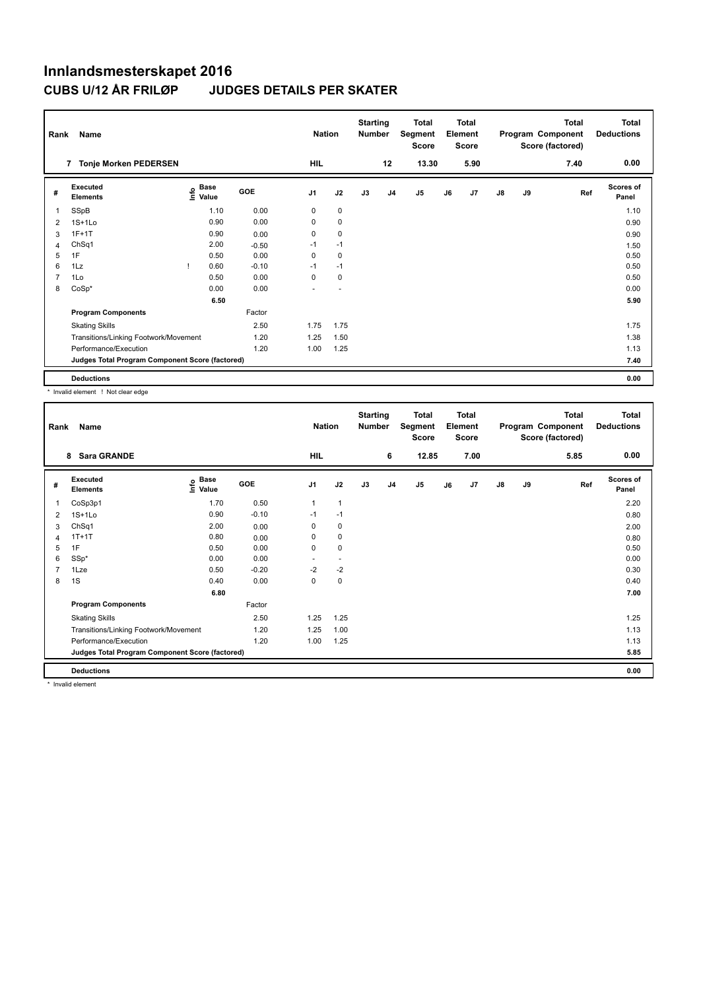| Rank | Name                                            |                   |         |                | <b>Nation</b> | <b>Starting</b><br><b>Number</b> |                | Total<br>Segment<br><b>Score</b> |    | <b>Total</b><br>Element<br>Score |               |    | <b>Total</b><br>Program Component<br>Score (factored) | <b>Total</b><br><b>Deductions</b> |
|------|-------------------------------------------------|-------------------|---------|----------------|---------------|----------------------------------|----------------|----------------------------------|----|----------------------------------|---------------|----|-------------------------------------------------------|-----------------------------------|
|      | <b>Tonje Morken PEDERSEN</b><br>7               |                   |         | HIL            |               |                                  | 12             | 13.30                            |    | 5.90                             |               |    | 7.40                                                  | 0.00                              |
| #    | <b>Executed</b><br><b>Elements</b>              | e Base<br>⊆ Value | GOE     | J <sub>1</sub> | J2            | J3                               | J <sub>4</sub> | J <sub>5</sub>                   | J6 | J7                               | $\mathsf{J}8$ | J9 | Ref                                                   | <b>Scores of</b><br>Panel         |
| 1    | SSpB                                            | 1.10              | 0.00    | 0              | $\mathbf 0$   |                                  |                |                                  |    |                                  |               |    |                                                       | 1.10                              |
| 2    | $1S+1Lo$                                        | 0.90              | 0.00    | 0              | $\pmb{0}$     |                                  |                |                                  |    |                                  |               |    |                                                       | 0.90                              |
| 3    | $1F+1T$                                         | 0.90              | 0.00    | 0              | 0             |                                  |                |                                  |    |                                  |               |    |                                                       | 0.90                              |
| 4    | ChSq1                                           | 2.00              | $-0.50$ | $-1$           | $-1$          |                                  |                |                                  |    |                                  |               |    |                                                       | 1.50                              |
| 5    | 1F                                              | 0.50              | 0.00    | 0              | 0             |                                  |                |                                  |    |                                  |               |    |                                                       | 0.50                              |
| 6    | 1Lz                                             | 0.60              | $-0.10$ | $-1$           | $-1$          |                                  |                |                                  |    |                                  |               |    |                                                       | 0.50                              |
|      | 1Lo                                             | 0.50              | 0.00    | $\Omega$       | 0             |                                  |                |                                  |    |                                  |               |    |                                                       | 0.50                              |
| 8    | $CoSp*$                                         | 0.00              | 0.00    |                |               |                                  |                |                                  |    |                                  |               |    |                                                       | 0.00                              |
|      |                                                 | 6.50              |         |                |               |                                  |                |                                  |    |                                  |               |    |                                                       | 5.90                              |
|      | <b>Program Components</b>                       |                   | Factor  |                |               |                                  |                |                                  |    |                                  |               |    |                                                       |                                   |
|      | <b>Skating Skills</b>                           |                   | 2.50    | 1.75           | 1.75          |                                  |                |                                  |    |                                  |               |    |                                                       | 1.75                              |
|      | Transitions/Linking Footwork/Movement           |                   | 1.20    | 1.25           | 1.50          |                                  |                |                                  |    |                                  |               |    |                                                       | 1.38                              |
|      | Performance/Execution                           |                   | 1.20    | 1.00           | 1.25          |                                  |                |                                  |    |                                  |               |    |                                                       | 1.13                              |
|      | Judges Total Program Component Score (factored) |                   |         |                |               |                                  |                |                                  |    |                                  |               |    |                                                       | 7.40                              |
|      | <b>Deductions</b>                               |                   |         |                |               |                                  |                |                                  |    |                                  |               |    |                                                       | 0.00                              |

\* Invalid element ! Not clear edge

| Rank           | Name                                            |                                  |            | <b>Nation</b>            |                          | <b>Starting</b><br><b>Number</b> |                | <b>Total</b><br>Segment<br><b>Score</b> |    | <b>Total</b><br>Element<br><b>Score</b> |               |    | <b>Total</b><br>Program Component<br>Score (factored) | <b>Total</b><br><b>Deductions</b> |
|----------------|-------------------------------------------------|----------------------------------|------------|--------------------------|--------------------------|----------------------------------|----------------|-----------------------------------------|----|-----------------------------------------|---------------|----|-------------------------------------------------------|-----------------------------------|
|                | <b>Sara GRANDE</b><br>8                         |                                  |            | <b>HIL</b>               |                          |                                  | 6              | 12.85                                   |    | 7.00                                    |               |    | 5.85                                                  | 0.00                              |
| #              | Executed<br><b>Elements</b>                     | <b>Base</b><br>e Base<br>⊆ Value | <b>GOE</b> | J <sub>1</sub>           | J2                       | J3                               | J <sub>4</sub> | J5                                      | J6 | J7                                      | $\mathsf{J}8$ | J9 | Ref                                                   | <b>Scores of</b><br>Panel         |
|                | CoSp3p1                                         | 1.70                             | 0.50       | $\mathbf{1}$             | $\mathbf{1}$             |                                  |                |                                         |    |                                         |               |    |                                                       | 2.20                              |
| 2              | $1S+1Lo$                                        | 0.90                             | $-0.10$    | $-1$                     | $-1$                     |                                  |                |                                         |    |                                         |               |    |                                                       | 0.80                              |
| 3              | ChSq1                                           | 2.00                             | 0.00       | 0                        | $\mathbf 0$              |                                  |                |                                         |    |                                         |               |    |                                                       | 2.00                              |
| 4              | $1T+1T$                                         | 0.80                             | 0.00       | 0                        | 0                        |                                  |                |                                         |    |                                         |               |    |                                                       | 0.80                              |
| 5              | 1F                                              | 0.50                             | 0.00       | 0                        | 0                        |                                  |                |                                         |    |                                         |               |    |                                                       | 0.50                              |
| 6              | SSp*                                            | 0.00                             | 0.00       | $\overline{\phantom{0}}$ | $\overline{\phantom{a}}$ |                                  |                |                                         |    |                                         |               |    |                                                       | 0.00                              |
| $\overline{7}$ | 1Lze                                            | 0.50                             | $-0.20$    | $-2$                     | $-2$                     |                                  |                |                                         |    |                                         |               |    |                                                       | 0.30                              |
| 8              | 1S                                              | 0.40                             | 0.00       | 0                        | 0                        |                                  |                |                                         |    |                                         |               |    |                                                       | 0.40                              |
|                |                                                 | 6.80                             |            |                          |                          |                                  |                |                                         |    |                                         |               |    |                                                       | 7.00                              |
|                | <b>Program Components</b>                       |                                  | Factor     |                          |                          |                                  |                |                                         |    |                                         |               |    |                                                       |                                   |
|                | <b>Skating Skills</b>                           |                                  | 2.50       | 1.25                     | 1.25                     |                                  |                |                                         |    |                                         |               |    |                                                       | 1.25                              |
|                | Transitions/Linking Footwork/Movement           |                                  | 1.20       | 1.25                     | 1.00                     |                                  |                |                                         |    |                                         |               |    |                                                       | 1.13                              |
|                | Performance/Execution                           |                                  | 1.20       | 1.00                     | 1.25                     |                                  |                |                                         |    |                                         |               |    |                                                       | 1.13                              |
|                | Judges Total Program Component Score (factored) |                                  |            |                          |                          |                                  |                |                                         |    |                                         |               |    |                                                       | 5.85                              |
|                | <b>Deductions</b>                               |                                  |            |                          |                          |                                  |                |                                         |    |                                         |               |    |                                                       | 0.00                              |

\* Invalid element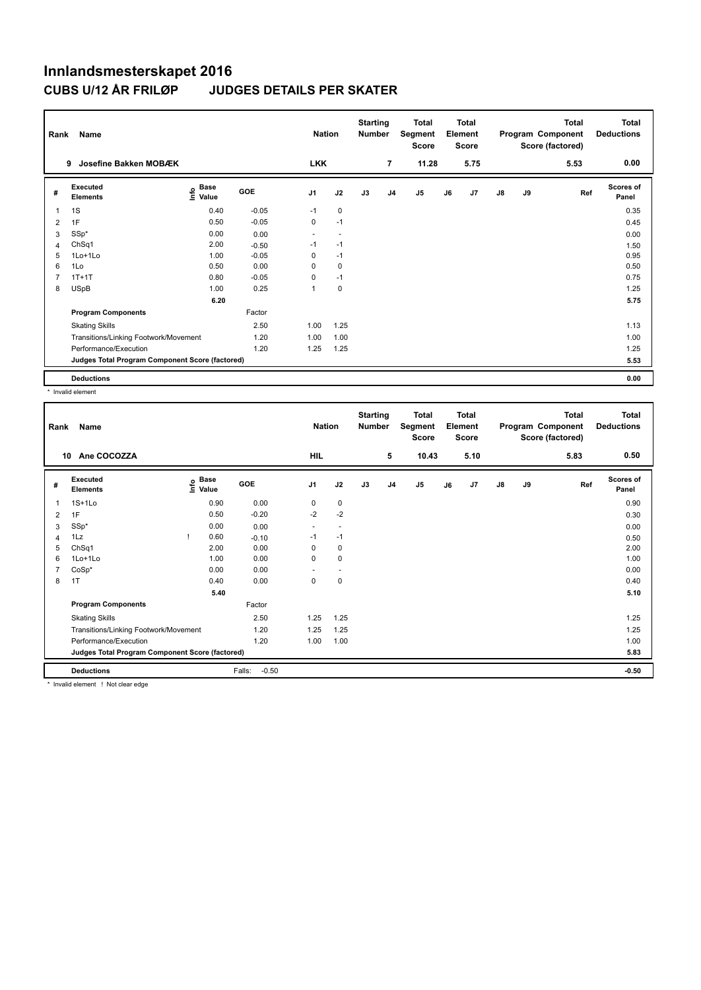## **Innlandsmesterskapet 2016 CUBS U/12 ÅR FRILØR**

|  | <b>JUDGES DETAILS PER SKATER</b> |  |
|--|----------------------------------|--|
|--|----------------------------------|--|

| Rank | Name                                            |                    |         | <b>Nation</b>  |      | <b>Starting</b><br><b>Number</b> |                | <b>Total</b><br>Segment<br><b>Score</b> |    | <b>Total</b><br>Element<br><b>Score</b> |               |    | <b>Total</b><br>Program Component<br>Score (factored) | <b>Total</b><br><b>Deductions</b> |
|------|-------------------------------------------------|--------------------|---------|----------------|------|----------------------------------|----------------|-----------------------------------------|----|-----------------------------------------|---------------|----|-------------------------------------------------------|-----------------------------------|
|      | 9<br>Josefine Bakken MOBÆK                      |                    |         | <b>LKK</b>     |      |                                  | 7              | 11.28                                   |    | 5.75                                    |               |    | 5.53                                                  | 0.00                              |
| #    | Executed<br><b>Elements</b>                     | $\frac{e}{E}$ Base | GOE     | J <sub>1</sub> | J2   | J3                               | J <sub>4</sub> | J <sub>5</sub>                          | J6 | J <sub>7</sub>                          | $\mathsf{J}8$ | J9 | Ref                                                   | <b>Scores of</b><br>Panel         |
| 1    | 1S                                              | 0.40               | $-0.05$ | $-1$           | 0    |                                  |                |                                         |    |                                         |               |    |                                                       | 0.35                              |
| 2    | 1F                                              | 0.50               | $-0.05$ | 0              | $-1$ |                                  |                |                                         |    |                                         |               |    |                                                       | 0.45                              |
| 3    | SSp*                                            | 0.00               | 0.00    |                |      |                                  |                |                                         |    |                                         |               |    |                                                       | 0.00                              |
| 4    | ChSq1                                           | 2.00               | $-0.50$ | $-1$           | $-1$ |                                  |                |                                         |    |                                         |               |    |                                                       | 1.50                              |
| 5    | $1$ Lo $+1$ Lo                                  | 1.00               | $-0.05$ | 0              | $-1$ |                                  |                |                                         |    |                                         |               |    |                                                       | 0.95                              |
| 6    | 1Lo                                             | 0.50               | 0.00    | 0              | 0    |                                  |                |                                         |    |                                         |               |    |                                                       | 0.50                              |
|      | $1T+1T$                                         | 0.80               | $-0.05$ | $\Omega$       | $-1$ |                                  |                |                                         |    |                                         |               |    |                                                       | 0.75                              |
| 8    | <b>USpB</b>                                     | 1.00               | 0.25    | 1              | 0    |                                  |                |                                         |    |                                         |               |    |                                                       | 1.25                              |
|      |                                                 | 6.20               |         |                |      |                                  |                |                                         |    |                                         |               |    |                                                       | 5.75                              |
|      | <b>Program Components</b>                       |                    | Factor  |                |      |                                  |                |                                         |    |                                         |               |    |                                                       |                                   |
|      | <b>Skating Skills</b>                           |                    | 2.50    | 1.00           | 1.25 |                                  |                |                                         |    |                                         |               |    |                                                       | 1.13                              |
|      | Transitions/Linking Footwork/Movement           |                    | 1.20    | 1.00           | 1.00 |                                  |                |                                         |    |                                         |               |    |                                                       | 1.00                              |
|      | Performance/Execution                           |                    | 1.20    | 1.25           | 1.25 |                                  |                |                                         |    |                                         |               |    |                                                       | 1.25                              |
|      | Judges Total Program Component Score (factored) |                    |         |                |      |                                  |                |                                         |    |                                         |               |    |                                                       | 5.53                              |
|      | <b>Deductions</b>                               |                    |         |                |      |                                  |                |                                         |    |                                         |               |    |                                                       | 0.00                              |

\* Invalid element

| Rank           | Name                                            |                                    |                   | <b>Nation</b>  |                          | <b>Starting</b><br><b>Number</b> |                | <b>Total</b><br>Segment<br><b>Score</b> |    | <b>Total</b><br>Element<br><b>Score</b> |               |    | <b>Total</b><br>Program Component<br>Score (factored) | <b>Total</b><br><b>Deductions</b> |
|----------------|-------------------------------------------------|------------------------------------|-------------------|----------------|--------------------------|----------------------------------|----------------|-----------------------------------------|----|-----------------------------------------|---------------|----|-------------------------------------------------------|-----------------------------------|
|                | Ane COCOZZA<br>10                               |                                    |                   | HIL            |                          |                                  | 5              | 10.43                                   |    | 5.10                                    |               |    | 5.83                                                  | 0.50                              |
| #              | Executed<br><b>Elements</b>                     | <b>Base</b><br>$\frac{6}{5}$ Value | <b>GOE</b>        | J <sub>1</sub> | J2                       | J3                               | J <sub>4</sub> | J <sub>5</sub>                          | J6 | J7                                      | $\mathsf{J}8$ | J9 | Ref                                                   | <b>Scores of</b><br>Panel         |
| 1              | $1S+1Lo$                                        | 0.90                               | 0.00              | 0              | 0                        |                                  |                |                                         |    |                                         |               |    |                                                       | 0.90                              |
| 2              | 1F                                              | 0.50                               | $-0.20$           | $-2$           | $-2$                     |                                  |                |                                         |    |                                         |               |    |                                                       | 0.30                              |
| 3              | SSp*                                            | 0.00                               | 0.00              | ٠              | $\overline{\phantom{a}}$ |                                  |                |                                         |    |                                         |               |    |                                                       | 0.00                              |
| 4              | 1Lz                                             | 0.60                               | $-0.10$           | $-1$           | $-1$                     |                                  |                |                                         |    |                                         |               |    |                                                       | 0.50                              |
| 5              | ChSq1                                           | 2.00                               | 0.00              | 0              | 0                        |                                  |                |                                         |    |                                         |               |    |                                                       | 2.00                              |
| 6              | $1$ Lo $+1$ Lo                                  | 1.00                               | 0.00              | 0              | $\mathbf 0$              |                                  |                |                                         |    |                                         |               |    |                                                       | 1.00                              |
| $\overline{7}$ | $CoSp*$                                         | 0.00                               | 0.00              | ٠              | $\overline{a}$           |                                  |                |                                         |    |                                         |               |    |                                                       | 0.00                              |
| 8              | 1T                                              | 0.40                               | 0.00              | 0              | $\mathbf 0$              |                                  |                |                                         |    |                                         |               |    |                                                       | 0.40                              |
|                |                                                 | 5.40                               |                   |                |                          |                                  |                |                                         |    |                                         |               |    |                                                       | 5.10                              |
|                | <b>Program Components</b>                       |                                    | Factor            |                |                          |                                  |                |                                         |    |                                         |               |    |                                                       |                                   |
|                | <b>Skating Skills</b>                           |                                    | 2.50              | 1.25           | 1.25                     |                                  |                |                                         |    |                                         |               |    |                                                       | 1.25                              |
|                | Transitions/Linking Footwork/Movement           |                                    | 1.20              | 1.25           | 1.25                     |                                  |                |                                         |    |                                         |               |    |                                                       | 1.25                              |
|                | Performance/Execution                           |                                    | 1.20              | 1.00           | 1.00                     |                                  |                |                                         |    |                                         |               |    |                                                       | 1.00                              |
|                | Judges Total Program Component Score (factored) |                                    |                   |                |                          |                                  |                |                                         |    |                                         |               |    |                                                       | 5.83                              |
|                | <b>Deductions</b>                               |                                    | $-0.50$<br>Falls: |                |                          |                                  |                |                                         |    |                                         |               |    |                                                       | $-0.50$                           |

Invalid element ! Not clear edge